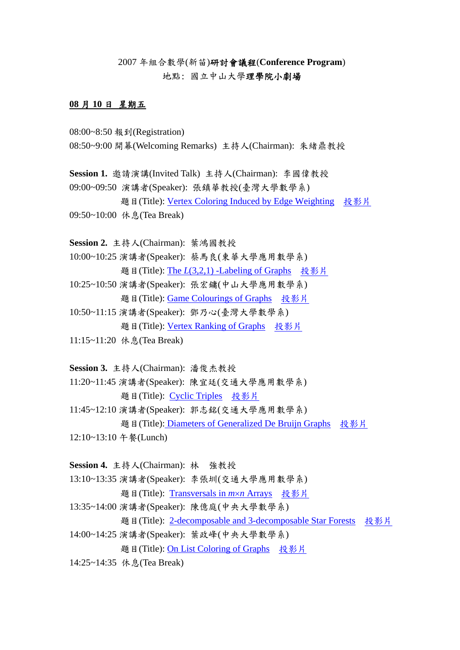2007 年組合數學(新苗)研討會議程(**Conference Program**) 地點: 國立中山大學理學院小劇場

## **08** 月 **10** 日 星期五

- 08:00~8:50 報到(Registration)
- 08:50~9:00 開幕(Welcoming Remarks) 主持人(Chairman): 朱緒鼎教授

**Session 1.** 邀請演講(Invited Talk) 主持人(Chairman): 李國偉教授

09:00~09:50 演講者(Speaker): 張鎮華教授(臺灣大學數學系) 題目(Title): [Vertex Coloring Induced by Edge Weighting](http://mail.math.nsysu.edu.tw/~comb2007/01.pdf) [投影片](http://mail.math.nsysu.edu.tw/~comb2007/s01.pdf)

09:50~10:00 休息(Tea Break)

**Session 2.** 主持人(Chairman): 葉鴻國教授

- 10:00~10:25 演講者(Speaker): 蔡馬良(東華大學應用數學系) 題目(Title): The *L*[\(3,2,1\) -Labeling of Graphs](http://mail.math.nsysu.edu.tw/~comb2007/20.pdf) [投影片](http://mail.math.nsysu.edu.tw/~comb2007/s20.pdf)
- 10:25~10:50 演講者(Speaker): 張宏鏞(中山大學應用數學系) 題目(Title): [Game Colourings of Graphs](http://mail.math.nsysu.edu.tw/~comb2007/06.pdf) [投影片](http://mail.math.nsysu.edu.tw/~comb2007/s06.pdf)
- 10:50~11:15 演講者(Speaker): 鄧乃心(臺灣大學數學系) 題目(Title): [Vertex Ranking of Graphs](http://mail.math.nsysu.edu.tw/~comb2007/10.pdf) [投影片](http://mail.math.nsysu.edu.tw/~comb2007/s10.pdf)
- 11:15~11:20 休息(Tea Break)

**Session 3.** 主持人(Chairman): 潘俊杰教授

- 11:20~11:45 演講者(Speaker): 陳宜廷(交通大學應用數學系) 題目(Title): [Cyclic Triples](http://mail.math.nsysu.edu.tw/~comb2007/16.pdf) [投影片](http://mail.math.nsysu.edu.tw/~comb2007/s16.pdf)
- 11:45~12:10 演講者(Speaker): 郭志銘(交通大學應用數學系) 題目(Title)[: Diameters of Generalized De Bruijn Graphs](http://mail.math.nsysu.edu.tw/~comb2007/15.pdf) [投影片](http://mail.math.nsysu.edu.tw/~comb2007/s15.pdf)
- 12:10~13:10 午餐(Lunch)

**Session 4.** 主持人(Chairman): 林 強教授

13:10~13:35 演講者(Speaker): 李張圳(交通大學應用數學系)

題目(Title): [Transversals in](http://mail.math.nsysu.edu.tw/~comb2007/12.pdf) *m*×*n* Arrays [投影片](http://mail.math.nsysu.edu.tw/~comb2007/s12.pdf)

13:35~14:00 演講者(Speaker): 陳億庭(中央大學數學系)

題目(Title): [2-decomposable and 3-decomposable Star Forests](http://mail.math.nsysu.edu.tw/~comb2007/08.pdf) [投影片](http://mail.math.nsysu.edu.tw/~comb2007/s08.pdf)

14:00~14:25 演講者(Speaker): 葉政峰(中央大學數學系)

題目(Title): [On List Coloring of Graphs](http://mail.math.nsysu.edu.tw/~comb2007/09.pdf) [投影片](http://mail.math.nsysu.edu.tw/~comb2007/s09.pdf)

14:25~14:35 休息(Tea Break)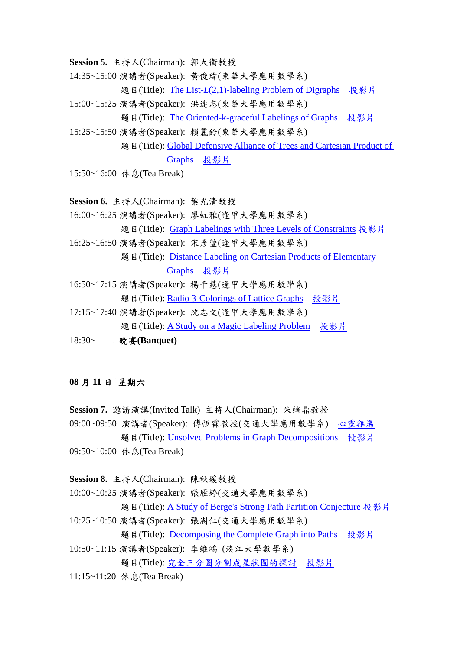**Session 5.** 主持人(Chairman): 郭大衛教授

14:35~15:00 演講者(Speaker): 黃俊瑋(東華大學應用數學系)

題目(Title): The List-*L*[\(2,1\)-labeling Problem of Digraphs](http://mail.math.nsysu.edu.tw/~comb2007/19.pdf) [投影片](http://mail.math.nsysu.edu.tw/~comb2007/s19.pdf)

15:00~15:25 演講者(Speaker): 洪連志(東華大學應用數學系)

題目(Title): [The Oriented-k-graceful Labelings of Graphs](http://mail.math.nsysu.edu.tw/~comb2007/18.pdf) [投影片](http://mail.math.nsysu.edu.tw/~comb2007/s18.pdf)

15:25~15:50 演講者(Speaker): 賴麗鈴(東華大學應用數學系)

題目(Title): Global Defensive Alliance of Trees and Cartesian Product of [Graphs](http://mail.math.nsysu.edu.tw/~comb2007/21.pdf) [投影片](http://mail.math.nsysu.edu.tw/~comb2007/s21.pdf)

15:50~16:00 休息(Tea Break)

**Session 6.** 主持人(Chairman): 葉光清教授

16:00~16:25 演講者(Speaker): 廖虹雅(逢甲大學應用數學系)

題目(Title): [Graph Labelings with Three Levels of Constraints](http://mail.math.nsysu.edu.tw/~comb2007/27.pdf) [投影片](http://mail.math.nsysu.edu.tw/~comb2007/s27.pdf)

16:25~16:50 演講者(Speaker): 宋彥萱(逢甲大學應用數學系)

題目(Title): [Distance Labeling on Cartesian Products of Elementary](http://mail.math.nsysu.edu.tw/~comb2007/24.pdf) 

[Graphs](http://mail.math.nsysu.edu.tw/~comb2007/24.pdf) [投影片](http://mail.math.nsysu.edu.tw/~comb2007/s24.pdf)

- 16:50~17:15 演講者(Speaker): 楊千慧(逢甲大學應用數學系) 題目(Title): [Radio 3-Colorings of Lattice Graphs](http://mail.math.nsysu.edu.tw/~comb2007/26.pdf) [投影片](http://mail.math.nsysu.edu.tw/%7Ecomb2007/s26.pdf)
- 17:15~17:40 演講者(Speaker): 沈志文(逢甲大學應用數學系) 題目(Title): [A Study on a Magic Labeling Problem](http://mail.math.nsysu.edu.tw/%7Ecomb2007/25.pdf) [投影片](http://mail.math.nsysu.edu.tw/~comb2007/s25.pdf)
- 18:30~ 晚宴**(Banquet)**

## **08** 月 **11** 日 星期六

**Session 7.** 邀請演講(Invited Talk) 主持人(Chairman): 朱緒鼎教授

09:00~09:50 演講者(Speaker): 傅恆霖教授(交通大學應用數學系) [心靈雞湯](http://mail.math.nsysu.edu.tw/~comb2007/s02-1.pps) 題目(Title): [Unsolved Problems in Graph Decompositions](http://mail.math.nsysu.edu.tw/~comb2007/02.pdf) [投影片](http://mail.math.nsysu.edu.tw/~comb2007/s02-2.pdf)

09:50~10:00 休息(Tea Break)

**Session 8.** 主持人(Chairman): 陳秋媛教授

10:00~10:25 演講者(Speaker): 張雁婷(交通大學應用數學系)

題目(Title): [A Study of Berge's Strong Path Partition Conjecture](http://mail.math.nsysu.edu.tw/~comb2007/13.pdf) [投影片](http://mail.math.nsysu.edu.tw/~comb2007/s13.pdf)

10:25~10:50 演講者(Speaker): 張澍仁(交通大學應用數學系)

題目(Title): [Decomposing the Complete Graph into Paths](http://mail.math.nsysu.edu.tw/~comb2007/14.pdf) [投影片](http://mail.math.nsysu.edu.tw/~comb2007/s14.pdf)

10:50~11:15 演講者(Speaker): 李維鴻 (淡江大學數學系)

題目(Title): [完全三分圖分割成星狀圖的探討](http://mail.math.nsysu.edu.tw/~comb2007/23.pdf) [投影片](http://mail.math.nsysu.edu.tw/~comb2007/s23.pdf)

11:15~11:20 休息(Tea Break)